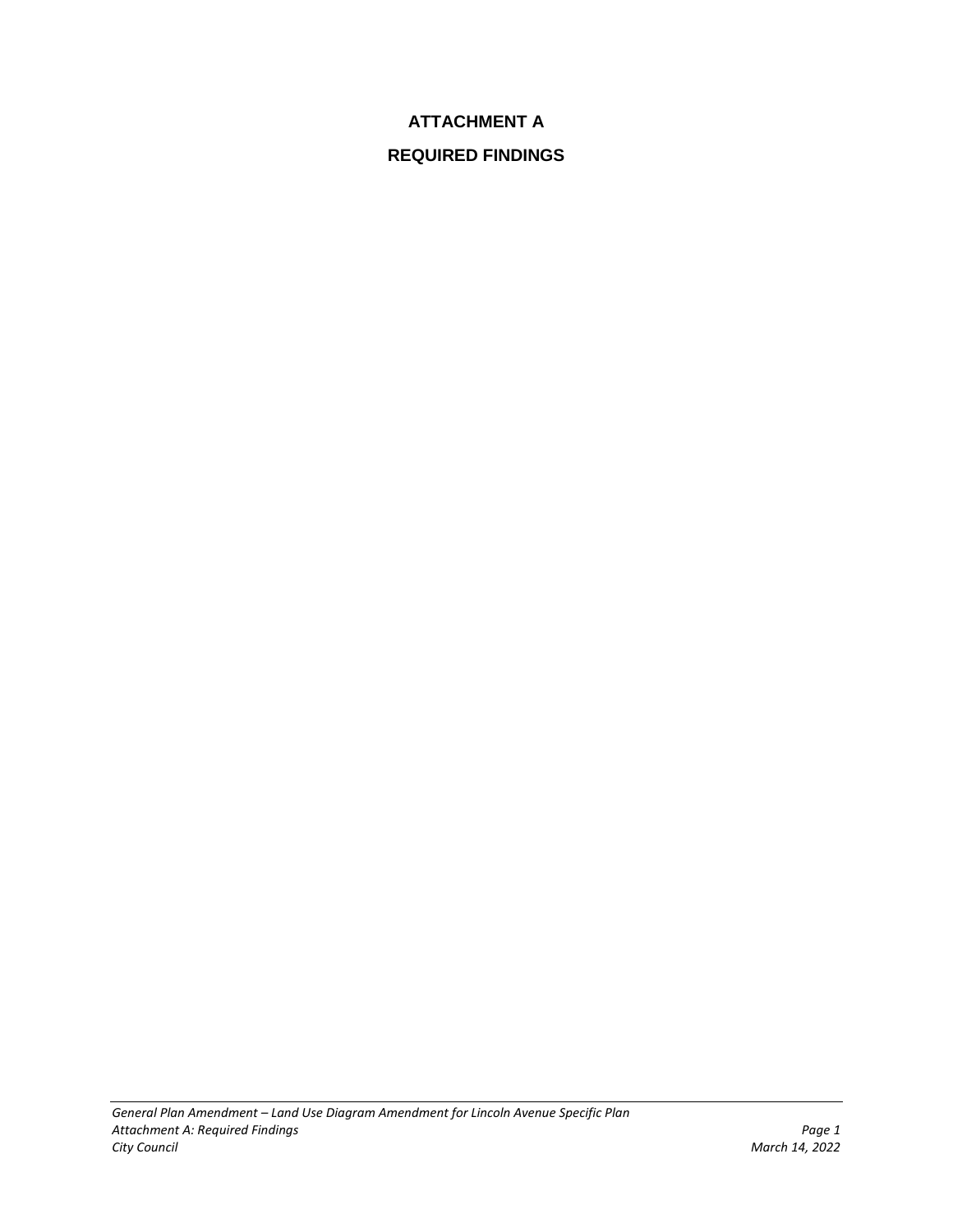# **ATTACHMENT A**

# **REQUIRED FINDINGS**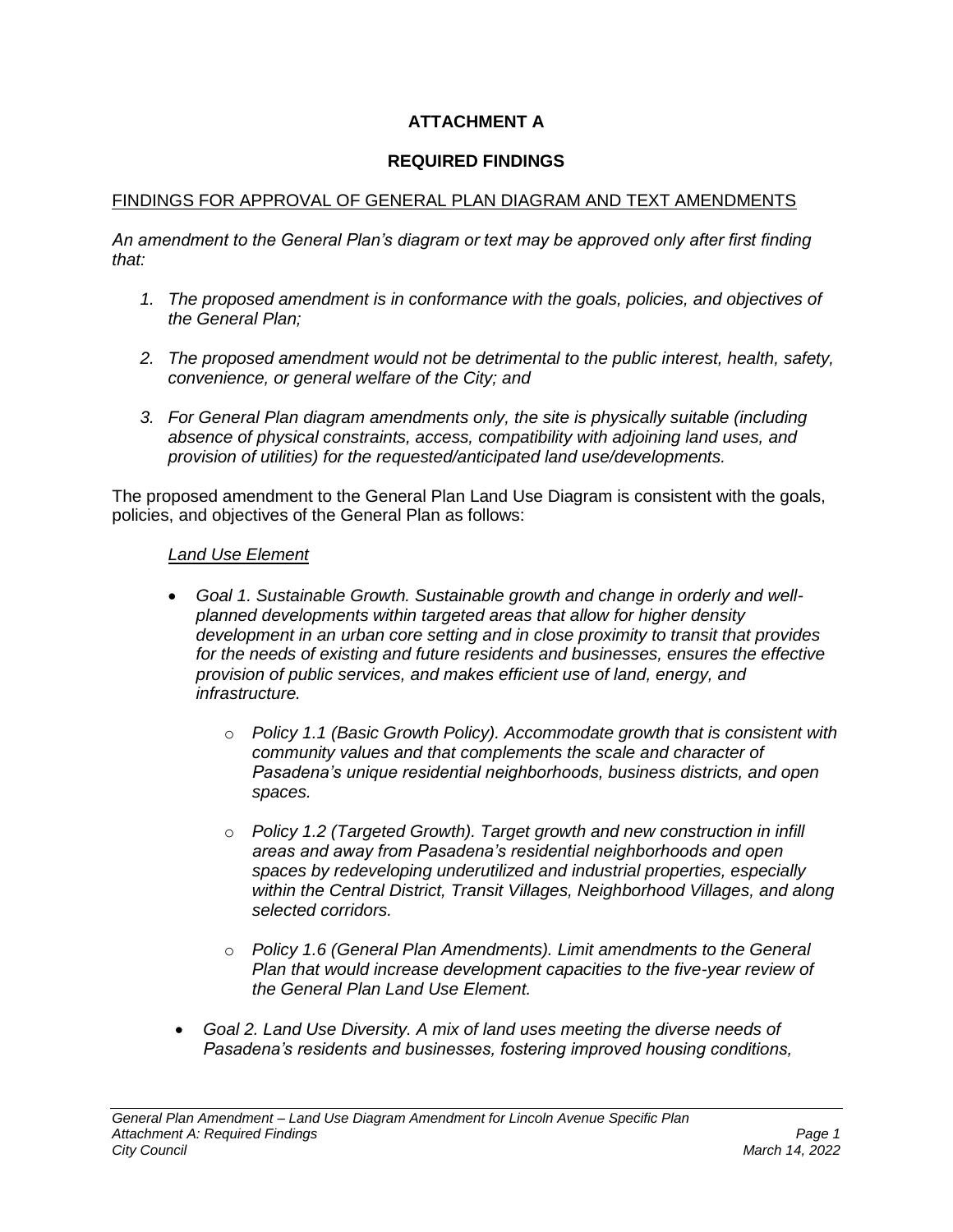# **ATTACHMENT A**

## **REQUIRED FINDINGS**

### FINDINGS FOR APPROVAL OF GENERAL PLAN DIAGRAM AND TEXT AMENDMENTS

*An amendment to the General Plan's diagram or text may be approved only after first finding that:*

- *1. The proposed amendment is in conformance with the goals, policies, and objectives of the General Plan;*
- *2. The proposed amendment would not be detrimental to the public interest, health, safety, convenience, or general welfare of the City; and*
- *3. For General Plan diagram amendments only, the site is physically suitable (including absence of physical constraints, access, compatibility with adjoining land uses, and provision of utilities) for the requested/anticipated land use/developments.*

The proposed amendment to the General Plan Land Use Diagram is consistent with the goals, policies, and objectives of the General Plan as follows:

#### *Land Use Element*

- *Goal 1. Sustainable Growth. Sustainable growth and change in orderly and wellplanned developments within targeted areas that allow for higher density development in an urban core setting and in close proximity to transit that provides for the needs of existing and future residents and businesses, ensures the effective provision of public services, and makes efficient use of land, energy, and infrastructure.*
	- o *Policy 1.1 (Basic Growth Policy). Accommodate growth that is consistent with community values and that complements the scale and character of Pasadena's unique residential neighborhoods, business districts, and open spaces.*
	- o *Policy 1.2 (Targeted Growth). Target growth and new construction in infill areas and away from Pasadena's residential neighborhoods and open spaces by redeveloping underutilized and industrial properties, especially*  within the Central District, Transit Villages, Neighborhood Villages, and along *selected corridors.*
	- o *Policy 1.6 (General Plan Amendments). Limit amendments to the General Plan that would increase development capacities to the five-year review of the General Plan Land Use Element.*
	- *Goal 2. Land Use Diversity. A mix of land uses meeting the diverse needs of Pasadena's residents and businesses, fostering improved housing conditions,*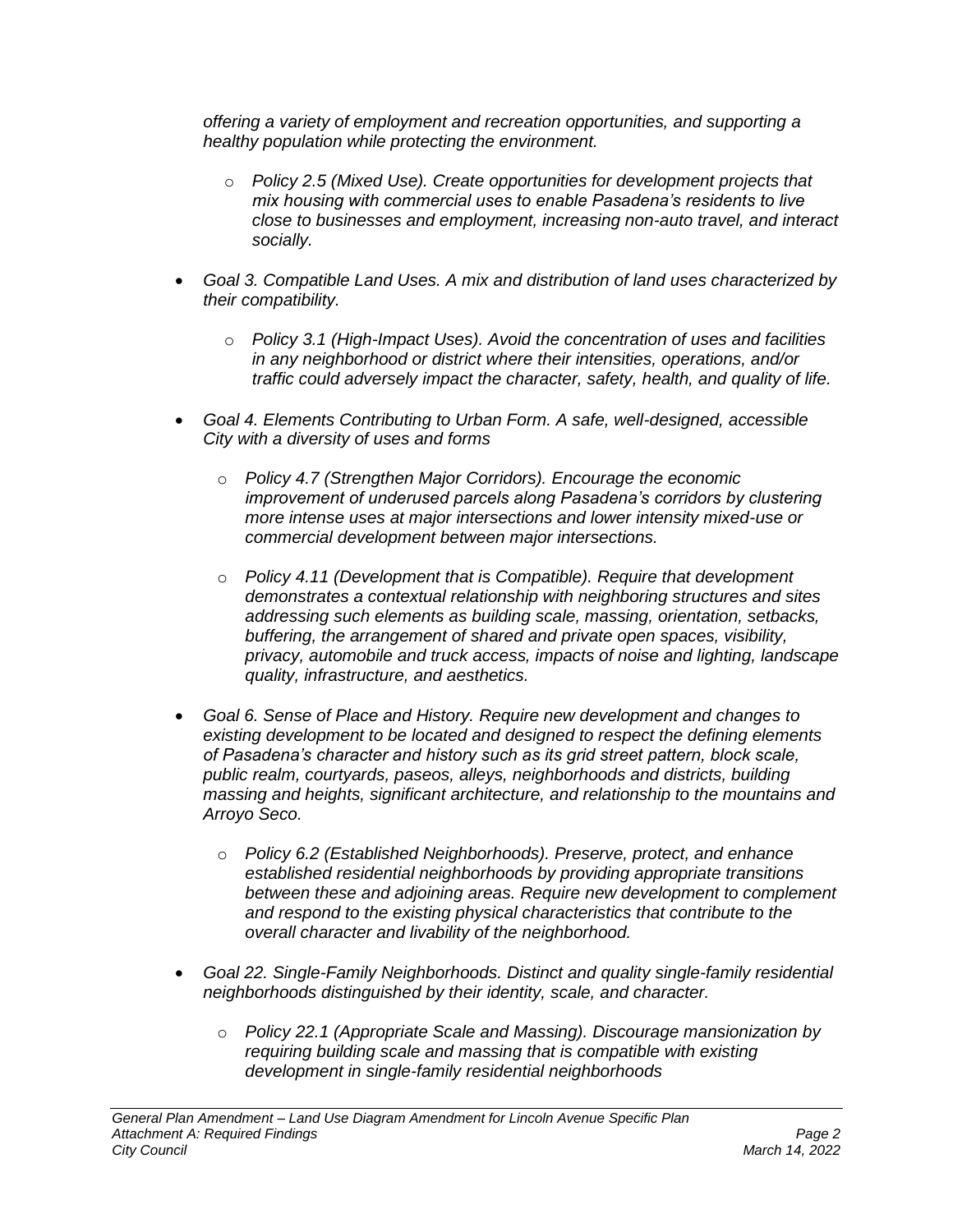*offering a variety of employment and recreation opportunities, and supporting a healthy population while protecting the environment.*

- o *Policy 2.5 (Mixed Use). Create opportunities for development projects that mix housing with commercial uses to enable Pasadena's residents to live close to businesses and employment, increasing non-auto travel, and interact socially.*
- *Goal 3. Compatible Land Uses. A mix and distribution of land uses characterized by their compatibility.*
	- o *Policy 3.1 (High-Impact Uses). Avoid the concentration of uses and facilities in any neighborhood or district where their intensities, operations, and/or traffic could adversely impact the character, safety, health, and quality of life.*
- *Goal 4. Elements Contributing to Urban Form. A safe, well-designed, accessible City with a diversity of uses and forms*
	- o *Policy 4.7 (Strengthen Major Corridors). Encourage the economic improvement of underused parcels along Pasadena's corridors by clustering more intense uses at major intersections and lower intensity mixed-use or commercial development between major intersections.*
	- o *Policy 4.11 (Development that is Compatible). Require that development demonstrates a contextual relationship with neighboring structures and sites addressing such elements as building scale, massing, orientation, setbacks, buffering, the arrangement of shared and private open spaces, visibility, privacy, automobile and truck access, impacts of noise and lighting, landscape quality, infrastructure, and aesthetics.*
- *Goal 6. Sense of Place and History. Require new development and changes to existing development to be located and designed to respect the defining elements of Pasadena's character and history such as its grid street pattern, block scale, public realm, courtyards, paseos, alleys, neighborhoods and districts, building massing and heights, significant architecture, and relationship to the mountains and Arroyo Seco.*
	- o *Policy 6.2 (Established Neighborhoods). Preserve, protect, and enhance established residential neighborhoods by providing appropriate transitions between these and adjoining areas. Require new development to complement and respond to the existing physical characteristics that contribute to the overall character and livability of the neighborhood.*
- *Goal 22. Single-Family Neighborhoods. Distinct and quality single-family residential neighborhoods distinguished by their identity, scale, and character.*
	- o *Policy 22.1 (Appropriate Scale and Massing). Discourage mansionization by requiring building scale and massing that is compatible with existing development in single-family residential neighborhoods*